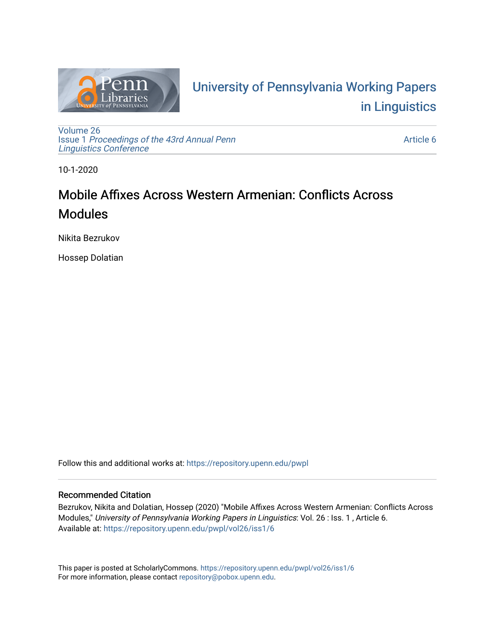

# University of P[ennsylvania Working P](https://repository.upenn.edu/pwpl)apers [in Linguistics](https://repository.upenn.edu/pwpl)

[Volume 26](https://repository.upenn.edu/pwpl/vol26) Issue 1 [Proceedings of the 43rd Annual Penn](https://repository.upenn.edu/pwpl/vol26/iss1) [Linguistics Conference](https://repository.upenn.edu/pwpl/vol26/iss1) 

[Article 6](https://repository.upenn.edu/pwpl/vol26/iss1/6) 

10-1-2020

# Mobile Affixes Across Western Armenian: Conflicts Across Modules

Nikita Bezrukov

Hossep Dolatian

Follow this and additional works at: [https://repository.upenn.edu/pwpl](https://repository.upenn.edu/pwpl?utm_source=repository.upenn.edu%2Fpwpl%2Fvol26%2Fiss1%2F6&utm_medium=PDF&utm_campaign=PDFCoverPages) 

# Recommended Citation

Bezrukov, Nikita and Dolatian, Hossep (2020) "Mobile Affixes Across Western Armenian: Conflicts Across Modules," University of Pennsylvania Working Papers in Linguistics: Vol. 26 : Iss. 1 , Article 6. Available at: [https://repository.upenn.edu/pwpl/vol26/iss1/6](https://repository.upenn.edu/pwpl/vol26/iss1/6?utm_source=repository.upenn.edu%2Fpwpl%2Fvol26%2Fiss1%2F6&utm_medium=PDF&utm_campaign=PDFCoverPages) 

This paper is posted at ScholarlyCommons.<https://repository.upenn.edu/pwpl/vol26/iss1/6> For more information, please contact [repository@pobox.upenn.edu.](mailto:repository@pobox.upenn.edu)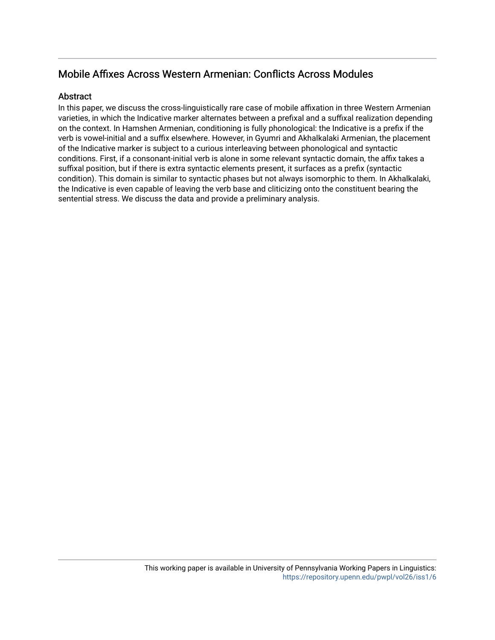# Mobile Affixes Across Western Armenian: Conflicts Across Modules

# Abstract

In this paper, we discuss the cross-linguistically rare case of mobile affixation in three Western Armenian varieties, in which the Indicative marker alternates between a prefixal and a suffixal realization depending on the context. In Hamshen Armenian, conditioning is fully phonological: the Indicative is a prefix if the verb is vowel-initial and a suffix elsewhere. However, in Gyumri and Akhalkalaki Armenian, the placement of the Indicative marker is subject to a curious interleaving between phonological and syntactic conditions. First, if a consonant-initial verb is alone in some relevant syntactic domain, the affix takes a suffixal position, but if there is extra syntactic elements present, it surfaces as a prefix (syntactic condition). This domain is similar to syntactic phases but not always isomorphic to them. In Akhalkalaki, the Indicative is even capable of leaving the verb base and cliticizing onto the constituent bearing the sentential stress. We discuss the data and provide a preliminary analysis.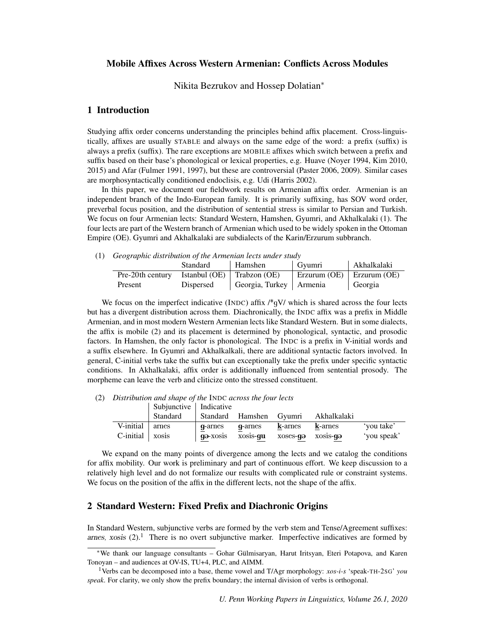#### Mobile Affixes Across Western Armenian: Conflicts Across Modules

Nikita Bezrukov and Hossep Dolatian<sup>∗</sup>

### 1 Introduction

Studying affix order concerns understanding the principles behind affix placement. Cross-linguistically, affixes are usually STABLE and always on the same edge of the word: a prefix (suffix) is always a prefix (suffix). The rare exceptions are MOBILE affixes which switch between a prefix and suffix based on their base's phonological or lexical properties, e.g. Huave (Noyer 1994, Kim 2010, 2015) and Afar (Fulmer 1991, 1997), but these are controversial (Paster 2006, 2009). Similar cases are morphosyntactically conditioned endoclisis, e.g. Udi (Harris 2002).

In this paper, we document our fieldwork results on Armenian affix order. Armenian is an independent branch of the Indo-European family. It is primarily suffixing, has SOV word order, preverbal focus position, and the distribution of sentential stress is similar to Persian and Turkish. We focus on four Armenian lects: Standard Western, Hamshen, Gyumri, and Akhalkalaki (1). The four lects are part of the Western branch of Armenian which used to be widely spoken in the Ottoman Empire (OE). Gyumri and Akhalkalaki are subdialects of the Karin/Erzurum subbranch.

(1) *Geographic distribution of the Armenian lects under study*

| .<br>. .         | Standard  | Hamshen                            | Gvumri                                    | Akhalkalaki |
|------------------|-----------|------------------------------------|-------------------------------------------|-------------|
| Pre-20th century |           | Istanbul (OE) $\vert$ Trabzon (OE) | $\vert$ Erzurum (OE) $\vert$ Erzurum (OE) |             |
| Present          | Dispersed | Georgia, Turkey   Armenia          |                                           | Georgia     |

We focus on the imperfect indicative (INDC) affix  $\frac{1}{2}QV$  which is shared across the four lects but has a divergent distribution across them. Diachronically, the INDC affix was a prefix in Middle Armenian, and in most modern Western Armenian lects like Standard Western. But in some dialects, the affix is mobile (2) and its placement is determined by phonological, syntactic, and prosodic factors. In Hamshen, the only factor is phonological. The INDC is a prefix in V-initial words and a suffix elsewhere. In Gyumri and Akhalkalkali, there are additional syntactic factors involved. In general, C-initial verbs take the suffix but can exceptionally take the prefix under specific syntactic conditions. In Akhalkalaki, affix order is additionally influenced from sentential prosody. The morpheme can leave the verb and cliticize onto the stressed constituent.

(2) *Distribution and shape of the* INDC *across the four lects*

|              | Subjunctive   Indicative |          |                         |          |                  |             |
|--------------|--------------------------|----------|-------------------------|----------|------------------|-------------|
|              | Standard                 |          | Standard Hamshen Gyumri |          | Akhalkalaki      |             |
| V-initial    | arnes                    | q-arnes  | q-arnes                 | k-arnes  | k-arnes          | 'you take'  |
| $C$ -initial | xosis                    | qə-xosis | xosis-qu                | xoses-qə | xosis- <b>qə</b> | 'you speak' |

We expand on the many points of divergence among the lects and we catalog the conditions for affix mobility. Our work is preliminary and part of continuous effort. We keep discussion to a relatively high level and do not formalize our results with complicated rule or constraint systems. We focus on the position of the affix in the different lects, not the shape of the affix.

## 2 Standard Western: Fixed Prefix and Diachronic Origins

In Standard Western, subjunctive verbs are formed by the verb stem and Tense/Agreement suffixes: arnes, xosis  $(2)$ .<sup>1</sup> There is no overt subjunctive marker. Imperfective indicatives are formed by

<sup>∗</sup>We thank our language consultants – Gohar Gulmisaryan, Harut Iritsyan, Eteri Potapova, and Karen ¨ Tonoyan – and audiences at OV-IS, TU+4, PLC, and AIMM.

<sup>1</sup>Verbs can be decomposed into a base, theme vowel and T/Agr morphology: *xos-i-s* 'speak-TH-2SG' *you speak*. For clarity, we only show the prefix boundary; the internal division of verbs is orthogonal.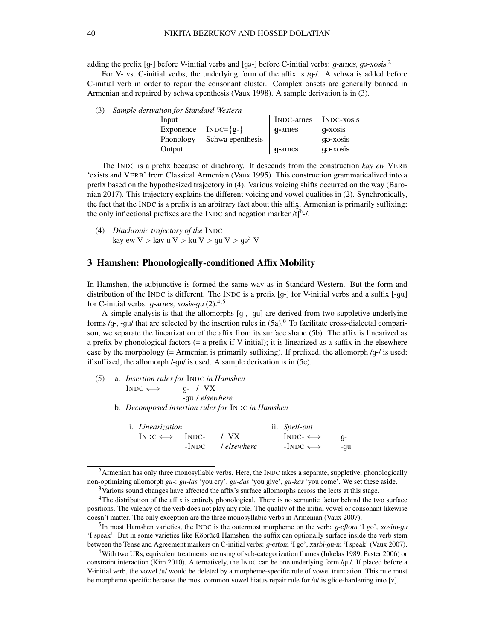adding the prefix [g-] before V-initial verbs and [ga-] before C-initial verbs:  $g$ -arnes,  $g$ a-xosis.<sup>2</sup>

For V- vs. C-initial verbs, the underlying form of the affix is /g-/. A schwa is added before C-initial verb in order to repair the consonant cluster. Complex onsets are generally banned in Armenian and repaired by schwa epenthesis (Vaux 1998). A sample derivation is in (3).

| Input     |                  | INDC-arnes | INDC-xosis |
|-----------|------------------|------------|------------|
| Exponence | $INDC=\{g-\}$    | q-arnes    | q-xosis    |
| Phonology | Schwa epenthesis |            | qə-xosis   |
| Output    |                  | q-arnes    | ga-xosis   |

(3) *Sample derivation for Standard Western*

The INDC is a prefix because of diachrony. It descends from the construction *kay ew* VERB 'exists and VERB' from Classical Armenian (Vaux 1995). This construction grammaticalized into a prefix based on the hypothesized trajectory in (4). Various voicing shifts occurred on the way (Baronian 2017). This trajectory explains the different voicing and vowel qualities in (2). Synchronically, the fact that the INDC is a prefix is an arbitrary fact about this affix. Armenian is primarily suffixing; the only inflectional prefixes are the INDC and negation marker  $\hat{f}$ <sup>h-1</sup>.

(4) *Diachronic trajectory of the* INDC kay ew $V >$ kay u $V >$ ku  $V >$   $\rm gu \ V >$   $\rm q\sigma^3$  V

### 3 Hamshen: Phonologically-conditioned Affix Mobility

In Hamshen, the subjunctive is formed the same way as in Standard Western. But the form and distribution of the INDC is different. The INDC is a prefix [g-] for V-initial verbs and a suffix [-gu] for C-initial verbs:  $g$ -arnes, xosis- $gu(2).^{4,5}$ 

A simple analysis is that the allomorphs [g-, -gu] are derived from two suppletive underlying forms /q-, -gu/ that are selected by the insertion rules in  $(5a)$ .<sup>6</sup> To facilitate cross-dialectal comparison, we separate the linearization of the affix from its surface shape (5b). The affix is linearized as a prefix by phonological factors (= a prefix if V-initial); it is linearized as a suffix in the elsewhere case by the morphology (= Armenian is primarily suffixing). If prefixed, the allomorph  $/q$ -/ is used; if suffixed, the allomorph /-gu/ is used. A sample derivation is in (5c).

(5) a. *Insertion rules for* INDC *in Hamshen*  $INDC \iff q- / \text{VX}$ -gu / *elsewhere* b. *Decomposed insertion rules for* INDC *in Hamshen*

| i. <i>Linearization</i> |                         | ii. Spell-out |            |
|-------------------------|-------------------------|---------------|------------|
| $INDC \iff INDC$        | 7 VX                    | $INDC- \iff$  | - <b>a</b> |
|                         | -INDC <i>lelsewhere</i> | $-INDC \iff$  | -qu        |

 ${}^{2}$ Armenian has only three monosyllabic verbs. Here, the INDC takes a separate, suppletive, phonologically non-optimizing allomorph *gu-*: *gu-las* 'you cry', *gu-das* 'you give', *gu-kas* 'you come'. We set these aside.

<sup>5</sup>In most Hamshen varieties, the INDC is the outermost morpheme on the verb: *g*-eftom 'I go', xosim-gu 'I speak'. But in some varieties like Köprücü Hamshen, the suffix can optionally surface inside the verb stem between the Tense and Agreement markers on C-initial verbs: g-ertom 'I go', xarbi-gu-m 'I speak' (Vaux 2007).

<sup>6</sup>With two URs, equivalent treatments are using of sub-categorization frames (Inkelas 1989, Paster 2006) or constraint interaction (Kim 2010). Alternatively, the INDC can be one underlying form /gu/. If placed before a V-initial verb, the vowel /u/ would be deleted by a morpheme-specific rule of vowel truncation. This rule must be morpheme specific because the most common vowel hiatus repair rule for  $/u'$  is glide-hardening into [v].

<sup>3</sup>Various sound changes have affected the affix's surface allomorphs across the lects at this stage.

<sup>&</sup>lt;sup>4</sup>The distribution of the affix is entirely phonological. There is no semantic factor behind the two surface positions. The valency of the verb does not play any role. The quality of the initial vowel or consonant likewise doesn't matter. The only exception are the three monosyllabic verbs in Armenian (Vaux 2007).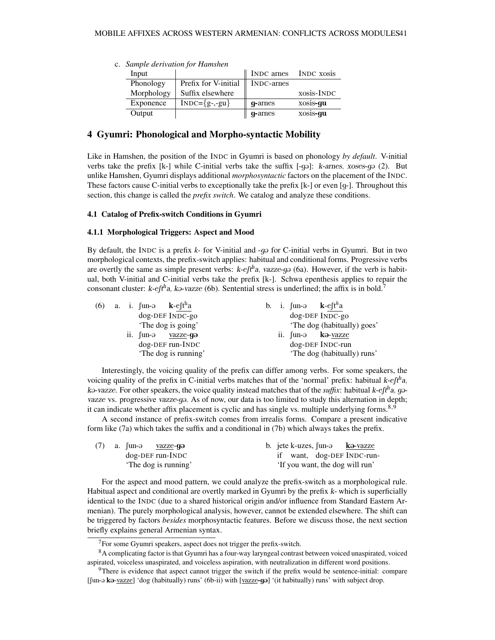|            | c. Sample derivation for Hamshen |                        |            |
|------------|----------------------------------|------------------------|------------|
| Input      |                                  | INDC arries INDC xosis |            |
| Phonology  | Prefix for V-initial             | INDC-arnes             |            |
| Morphology | Suffix elsewhere                 |                        | xosis-INDC |
|            |                                  |                        |            |
| Exponence  | $INDC=\{g-,-gu\}$                | q-arnes                | xosis-qu   |

#### 4 Gyumri: Phonological and Morpho-syntactic Mobility

Like in Hamshen, the position of the INDC in Gyumri is based on phonology *by default*. V-initial verbs take the prefix  $[k-]$  while C-initial verbs take the suffix  $[-q\varphi]$ : *k-arnes, xoses-q* (2). But unlike Hamshen, Gyumri displays additional *morphosyntactic* factors on the placement of the INDC. These factors cause C-initial verbs to exceptionally take the prefix [k-] or even [g-]. Throughout this section, this change is called the *prefix switch*. We catalog and analyze these conditions.

#### 4.1 Catalog of Prefix-switch Conditions in Gyumri

#### 4.1.1 Morphological Triggers: Aspect and Mood

By default, the INDC is a prefix *k*- for V-initial and -q of or C-initial verbs in Gyumri. But in two morphological contexts, the prefix-switch applies: habitual and conditional forms. Progressive verbs are overtly the same as simple present verbs:  $k$ - $ef$ <sup> $h$ </sup>a, vazze-g $\varphi$  (6a). However, if the verb is habitual, both V-initial and C-initial verbs take the prefix [k-]. Schwa epenthesis applies to repair the consonant cluster:  $k$ -eft<sup>h</sup>a, ka-vazze (6b). Sentential stress is underlined; the affix is in bold.<sup>7</sup>

|  |  | (6) a. i. fun- $\theta$ k-eft <sup>h</sup> a |  |  | b. i. fun- $\theta$ k-eft <sup>h</sup> a |
|--|--|----------------------------------------------|--|--|------------------------------------------|
|  |  | dog-DEF INDC-go                              |  |  | dog-DEF INDC-go                          |
|  |  | 'The dog is going'                           |  |  | 'The dog (habitually) goes'              |
|  |  | ii. fun-ə vazze-gə                           |  |  | ii. fun-ə kə-vazze                       |
|  |  | dog-DEF run-INDC                             |  |  | dog-DEF INDC-run                         |
|  |  | 'The dog is running'                         |  |  | 'The dog (habitually) runs'              |

Interestingly, the voicing quality of the prefix can differ among verbs. For some speakers, the voicing quality of the prefix in C-initial verbs matches that of the 'normal' prefix: habitual  $k$ -eft<sup>h</sup>a, ka-vazze. For other speakers, the voice quality instead matches that of the *suffix*: habitual k-eft<sup>h</sup>a, gavazze vs. progressive vazze-go. As of now, our data is too limited to study this alternation in depth; it can indicate whether affix placement is cyclic and has single vs. multiple underlying forms.<sup>8,9</sup>

A second instance of prefix-switch comes from irrealis forms. Compare a present indicative form like (7a) which takes the suffix and a conditional in (7b) which always takes the prefix.

|  | (7) a. $\int$ un-ə <u>vazze</u> -gə | b. jete k-uzes, fun- $\theta$ <b>k</b> $\theta$ -vazze |
|--|-------------------------------------|--------------------------------------------------------|
|  | dog-DEF run-INDC                    | want, dog-DEF INDC-run-                                |
|  | 'The dog is running'                | 'If you want, the dog will run'                        |

For the aspect and mood pattern, we could analyze the prefix-switch as a morphological rule. Habitual aspect and conditional are overtly marked in Gyumri by the prefix  $k$ - which is superficially identical to the INDC (due to a shared historical origin and/or influence from Standard Eastern Armenian). The purely morphological analysis, however, cannot be extended elsewhere. The shift can be triggered by factors *besides* morphosyntactic features. Before we discuss those, the next section briefly explains general Armenian syntax.

 $7$ For some Gyumri speakers, aspect does not trigger the prefix-switch.

<sup>&</sup>lt;sup>8</sup>A complicating factor is that Gyumri has a four-way laryngeal contrast between voiced unaspirated, voiced aspirated, voiceless unaspirated, and voiceless aspiration, with neutralization in different word positions.

<sup>&</sup>lt;sup>9</sup>There is evidence that aspect cannot trigger the switch if the prefix would be sentence-initial: compare  $[\text{fun-}a \text{ ko}-\text{vazze}]$  'dog (habitually) runs' (6b-ii) with  $[\text{vazze-gə}]$  '(it habitually) runs' with subject drop.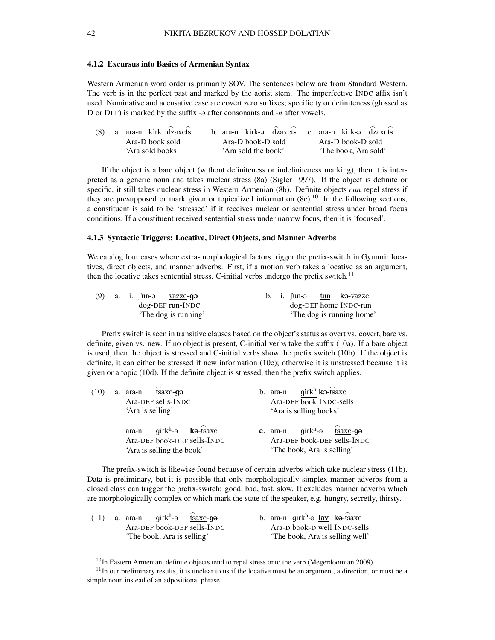#### 4.1.2 Excursus into Basics of Armenian Syntax

Western Armenian word order is primarily SOV. The sentences below are from Standard Western. The verb is in the perfect past and marked by the aorist stem. The imperfective INDC affix isn't used. Nominative and accusative case are covert zero suffixes; specificity or definiteness (glossed as D or DEF) is marked by the suffix - $\vartheta$  after consonants and *-n* after vowels.

| $(8)$ a. ara-n kirk $\widehat{dz}$ axets |                     | b. ara-n kirk-a dzaxets c. ara-n kirk-a dzaxets |
|------------------------------------------|---------------------|-------------------------------------------------|
| Ara-D book sold                          | Ara-D book-D sold   | Ara-D book-D sold                               |
| 'Ara sold books                          | 'Ara sold the book' | 'The book. Ara sold'                            |

If the object is a bare object (without definiteness or indefiniteness marking), then it is interpreted as a generic noun and takes nuclear stress (8a) (Sigler 1997). If the object is definite or specific, it still takes nuclear stress in Western Armenian (8b). Definite objects *can* repel stress if they are presupposed or mark given or topicalized information  $(8c)$ .<sup>10</sup> In the following sections, a constituent is said to be 'stressed' if it receives nuclear or sentential stress under broad focus conditions. If a constituent received sentential stress under narrow focus, then it is 'focused'.

#### 4.1.3 Syntactic Triggers: Locative, Direct Objects, and Manner Adverbs

We catalog four cases where extra-morphological factors trigger the prefix-switch in Gyumri: locatives, direct objects, and manner adverbs. First, if a motion verb takes a locative as an argument, then the locative takes sentential stress. C-initial verbs undergo the prefix switch.<sup>11</sup>

|  | $(9)$ a. i. fun- $\Theta$ | vazze-gə             |  |  | b. i. $\lim_{x \to 0}$ tun ka-vazze |
|--|---------------------------|----------------------|--|--|-------------------------------------|
|  |                           | dog-DEF run-INDC     |  |  | dog-DEF home INDC-run               |
|  |                           | 'The dog is running' |  |  | The dog is running home'            |

Prefix switch is seen in transitive clauses based on the object's status as overt vs. covert, bare vs. definite, given vs. new. If no object is present, C-initial verbs take the suffix (10a). If a bare object is used, then the object is stressed and C-initial verbs show the prefix switch (10b). If the object is definite, it can either be stressed if new information (10c); otherwise it is unstressed because it is given or a topic (10d). If the definite object is stressed, then the prefix switch applies.

| (10) | a. $ara-n$ $\widehat{ts}$ $axe-$ <b>q</b> $\ominus$<br>Ara-DEF sells-INDC<br>'Ara is selling'   | b. ara-n $girk^h$ <b>k</b> a-tsaxe<br>Ara-DEF book INDC-sells<br>'Ara is selling books'                                   |  |  |  |
|------|-------------------------------------------------------------------------------------------------|---------------------------------------------------------------------------------------------------------------------------|--|--|--|
|      | $arab - qirk^h - \partial$ ka-tsaxe<br>Ara-DEF book-DEF sells-INDC<br>'Ara is selling the book' | <b>d.</b> ara-n $qirk^h$ - $\theta$ fsaxe- <b>g</b> $\theta$<br>Ara-DEF book-DEF sells-INDC<br>'The book, Ara is selling' |  |  |  |

The prefix-switch is likewise found because of certain adverbs which take nuclear stress (11b). Data is preliminary, but it is possible that only morphologically simplex manner adverbs from a closed class can trigger the prefix-switch: good, bad, fast, slow. It excludes manner adverbs which are morphologically complex or which mark the state of the speaker, e.g. hungry, secretly, thirsty.

| (11) a. ara-n $qirk^h$ - $\theta$ tsaxe-go | b. ara-n girk <sup>h</sup> - $\partial$ lav k $\partial$ -tsaxe |
|--------------------------------------------|-----------------------------------------------------------------|
| Ara-DEF book-DEF sells-INDC                | Ara-D book-D well INDC-sells                                    |
| 'The book, Ara is selling'                 | 'The book, Ara is selling well'                                 |

<sup>&</sup>lt;sup>10</sup>In Eastern Armenian, definite objects tend to repel stress onto the verb (Megerdoomian 2009).

 $11$ In our preliminary results, it is unclear to us if the locative must be an argument, a direction, or must be a simple noun instead of an adpositional phrase.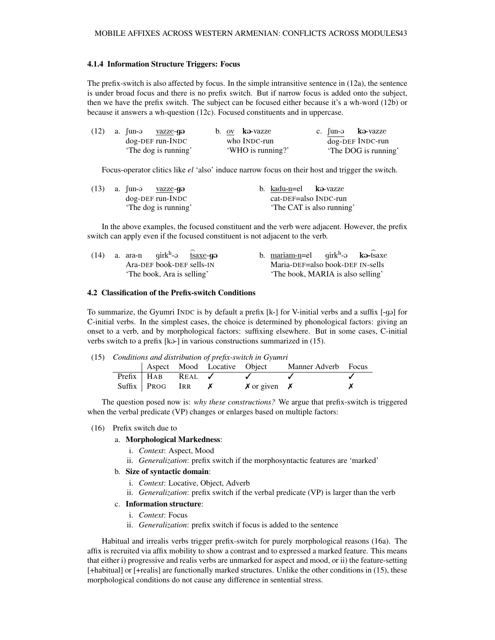#### 4.1.4 Information Structure Triggers: Focus

The prefix-switch is also affected by focus. In the simple intransitive sentence in (12a), the sentence is under broad focus and there is no prefix switch. But if narrow focus is added onto the subject, then we have the prefix switch. The subject can be focused either because it's a wh-word (12b) or because it answers a wh-question (12c). Focused constituents and in uppercase.

| $(12)$ a. fun-ə <u>vazze</u> -gə | b. ov ka-vazze    | c. Jun-ə kə-vazze    |
|----------------------------------|-------------------|----------------------|
| dog-DEF run-INDC                 | who INDC-run      | $dog$ -DEF INDC-run  |
| 'The dog is running'             | 'WHO is running?' | 'The DOG is running' |

Focus-operator clitics like *el* 'also' induce narrow focus on their host and trigger the switch.

|  | (13) a. $\int$ un-ə <u>vazze</u> -gə | b. kadu-n=el kə-vazze |                           |
|--|--------------------------------------|-----------------------|---------------------------|
|  | dog-DEF run-INDC                     |                       | cat-DEF=also INDC-run     |
|  | 'The dog is running'                 |                       | 'The CAT is also running' |

In the above examples, the focused constituent and the verb were adjacent. However, the prefix switch can apply even if the focused constituent is not adjacent to the verb.

| (14) a. ara-n $qirk^h$ - $\theta$ tsaxe-go | b. mariam-n=el $qirk^h$ - $\theta$ ka-tsaxe |
|--------------------------------------------|---------------------------------------------|
| Ara-DEF book-DEF sells-IN                  | Maria-DEF=also book-DEF IN-sells            |
| 'The book, Ara is selling'                 | 'The book, MARIA is also selling'           |

#### 4.2 Classification of the Prefix-switch Conditions

To summarize, the Gyumri INDC is by default a prefix [k-] for V-initial verbs and a suffix [-g@] for C-initial verbs. In the simplest cases, the choice is determined by phonological factors: giving an onset to a verb, and by morphological factors: suffixing elsewhere. But in some cases, C-initial verbs switch to a prefix [ka-] in various constructions summarized in (15).

| (15) Conditions and distribution of prefix-switch in Gyumri |                     |                     |                  |                        |                                                 |  |  |
|-------------------------------------------------------------|---------------------|---------------------|------------------|------------------------|-------------------------------------------------|--|--|
|                                                             |                     |                     |                  |                        | Aspect Mood Locative Object Manner Adverb Focus |  |  |
|                                                             | $Prefix$   $HAB$    | $REAL$ $\checkmark$ |                  |                        |                                                 |  |  |
|                                                             | $Suffix \perp PROG$ | IRR                 | $\boldsymbol{X}$ | $\chi$ or given $\chi$ |                                                 |  |  |

The question posed now is: *why these constructions?* We argue that prefix-switch is triggered when the verbal predicate (VP) changes or enlarges based on multiple factors:

#### (16) Prefix switch due to

#### a. Morphological Markedness:

- i. *Context*: Aspect, Mood
- ii. *Generalization*: prefix switch if the morphosyntactic features are 'marked'

#### b. Size of syntactic domain:

- i. *Context*: Locative, Object, Adverb
- ii. *Generalization*: prefix switch if the verbal predicate (VP) is larger than the verb

#### c. Information structure:

- i. *Context*: Focus
- ii. *Generalization*: prefix switch if focus is added to the sentence

Habitual and irrealis verbs trigger prefix-switch for purely morphological reasons (16a). The affix is recruited via affix mobility to show a contrast and to expressed a marked feature. This means that either i) progressive and realis verbs are unmarked for aspect and mood, or ii) the feature-setting [+habitual] or [+realis] are functionally marked structures. Unlike the other conditions in (15), these morphological conditions do not cause any difference in sentential stress.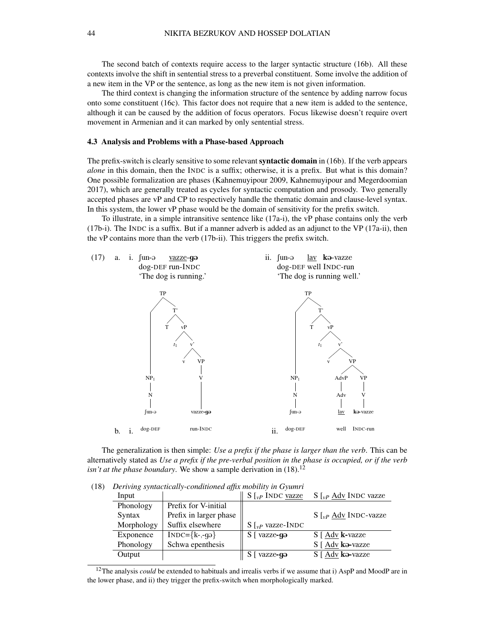The second batch of contexts require access to the larger syntactic structure (16b). All these contexts involve the shift in sentential stress to a preverbal constituent. Some involve the addition of a new item in the VP or the sentence, as long as the new item is not given information.

The third context is changing the information structure of the sentence by adding narrow focus onto some constituent (16c). This factor does not require that a new item is added to the sentence, although it can be caused by the addition of focus operators. Focus likewise doesn't require overt movement in Armenian and it can marked by only sentential stress.

#### 4.3 Analysis and Problems with a Phase-based Approach

The prefix-switch is clearly sensitive to some relevant **syntactic domain** in (16b). If the verb appears *alone* in this domain, then the INDC is a suffix; otherwise, it is a prefix. But what is this domain? One possible formalization are phases (Kahnemuyipour 2009, Kahnemuyipour and Megerdoomian 2017), which are generally treated as cycles for syntactic computation and prosody. Two generally accepted phases are vP and CP to respectively handle the thematic domain and clause-level syntax. In this system, the lower vP phase would be the domain of sensitivity for the prefix switch.

To illustrate, in a simple intransitive sentence like (17a-i), the vP phase contains only the verb (17b-i). The INDC is a suffix. But if a manner adverb is added as an adjunct to the VP (17a-ii), then the vP contains more than the verb (17b-ii). This triggers the prefix switch.



The generalization is then simple: *Use a prefix if the phase is larger than the verb*. This can be alternatively stated as *Use a prefix if the pre-verbal position in the phase is occupied, or if the verb isn't at the phase boundary.* We show a sample derivation in  $(18)$ .<sup>12</sup>

(18) *Deriving syntactically-conditioned affix mobility in Gyumri*

| Input      |                        | $S \vert_{v}$ INDC vazze  | $S\left[\right]_{vP}$ Adv INDC vazze |
|------------|------------------------|---------------------------|--------------------------------------|
| Phonology  | Prefix for V-initial   |                           |                                      |
| Syntax     | Prefix in larger phase |                           | $S \vert_{v}$ Adv INDC-vazze         |
| Morphology | Suffix elsewhere       | $S \vert_{vP}$ vazze-INDC |                                      |
| Exponence  | $INDC=\{k-, q\}$       | S [ vazze-ga              | S [ Adv k-vazze                      |
| Phonology  | Schwa epenthesis       |                           | S [ Adv ka-vazze                     |
| Output     |                        | S [ vazze-ga              | S [ Adv ka-vazze                     |

<sup>12</sup>The analysis *could* be extended to habituals and irrealis verbs if we assume that i) AspP and MoodP are in the lower phase, and ii) they trigger the prefix-switch when morphologically marked.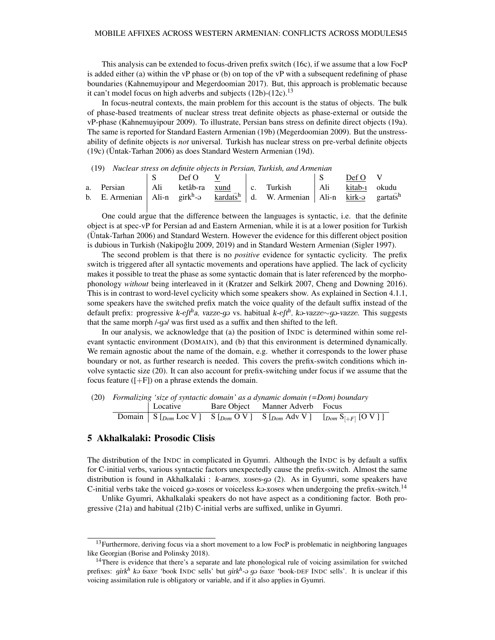This analysis can be extended to focus-driven prefix switch (16c), if we assume that a low FocP is added either (a) within the vP phase or (b) on top of the vP with a subsequent redefining of phase boundaries (Kahnemuyipour and Megerdoomian 2017). But, this approach is problematic because it can't model focus on high adverbs and subjects  $(12b)-(12c)$ .<sup>13</sup>

In focus-neutral contexts, the main problem for this account is the status of objects. The bulk of phase-based treatments of nuclear stress treat definite objects as phase-external or outside the vP-phase (Kahnemuyipour 2009). To illustrate, Persian bans stress on definite direct objects (19a). The same is reported for Standard Eastern Armenian (19b) (Megerdoomian 2009). But the unstressability of definite objects is *not* universal. Turkish has nuclear stress on pre-verbal definite objects (19c) (Untak-Tarhan 2006) as does Standard Western Armenian (19d). ¨

(19) *Nuclear stress on definite objects in Persian, Turkish, and Armenian*

|  | Def O V |  |                                                                                                                                       | Def O V |  |
|--|---------|--|---------------------------------------------------------------------------------------------------------------------------------------|---------|--|
|  |         |  | a. Persian   Ali ketâb-ra xund   c. Turkish   Ali kitab-1 okudu                                                                       |         |  |
|  |         |  | b. E. Armenian   Ali-n girk <sup>h</sup> - $\theta$ kardats <sup>h</sup>   d. W. Armenian   Ali-n kirk- $\theta$ gartats <sup>h</sup> |         |  |
|  |         |  |                                                                                                                                       |         |  |

One could argue that the difference between the languages is syntactic, i.e. that the definite object is at spec-vP for Persian ad and Eastern Armenian, while it is at a lower position for Turkish (Untak-Tarhan 2006) and Standard Western. However the evidence for this different object position ¨ is dubious in Turkish (Nakipoğlu 2009, 2019) and in Standard Western Armenian (Sigler 1997).

The second problem is that there is no *positive* evidence for syntactic cyclicity. The prefix switch is triggered after all syntactic movements and operations have applied. The lack of cyclicity makes it possible to treat the phase as some syntactic domain that is later referenced by the morphophonology *without* being interleaved in it (Kratzer and Selkirk 2007, Cheng and Downing 2016). This is in contrast to word-level cyclicity which some speakers show. As explained in Section 4.1.1, some speakers have the switched prefix match the voice quality of the default suffix instead of the default prefix: progressive k-eft<sup>h</sup>a, vazze-gə vs. habitual k-eft<sup>h</sup>, kə-vazze∼gə-vazze. This suggests that the same morph /-qə/ was first used as a suffix and then shifted to the left.

In our analysis, we acknowledge that (a) the position of INDC is determined within some relevant syntactic environment (DOMAIN), and (b) that this environment is determined dynamically. We remain agnostic about the name of the domain, e.g. whether it corresponds to the lower phase boundary or not, as further research is needed. This covers the prefix-switch conditions which involve syntactic size (20). It can also account for prefix-switching under focus if we assume that the focus feature  $([-F])$  on a phrase extends the domain.

| (20) Formalizing 'size of syntactic domain' as a dynamic domain $(=Dom)$ boundary |  |  |                                          |                                                                                                                                       |  |  |  |
|-----------------------------------------------------------------------------------|--|--|------------------------------------------|---------------------------------------------------------------------------------------------------------------------------------------|--|--|--|
|                                                                                   |  |  | Locative Bare Object Manner Adverb Focus |                                                                                                                                       |  |  |  |
|                                                                                   |  |  |                                          | Domain $\mid S \mid_{Dom} \text{Loc V} \mid S \mid_{Dom} \text{OV} \mid S \mid_{Dom} \text{Adv V} \mid [_{Dom} S_{[+F]} \text{[OV]}]$ |  |  |  |

#### 5 Akhalkalaki: Prosodic Clisis

The distribution of the INDC in complicated in Gyumri. Although the INDC is by default a suffix for C-initial verbs, various syntactic factors unexpectedly cause the prefix-switch. Almost the same distribution is found in Akhalkalaki : k-arnes, xoses-go (2). As in Gyumri, some speakers have C-initial verbs take the voiced  $g\rightarrow x$ oses or voiceless k $\rightarrow x$ oses when undergoing the prefix-switch.<sup>14</sup>

Unlike Gyumri, Akhalkalaki speakers do not have aspect as a conditioning factor. Both progressive (21a) and habitual (21b) C-initial verbs are suffixed, unlike in Gyumri.

 $13$ Furthermore, deriving focus via a short movement to a low FocP is problematic in neighboring languages like Georgian (Borise and Polinsky 2018).

<sup>&</sup>lt;sup>14</sup>There is evidence that there's a separate and late phonological rule of voicing assimilation for switched prefixes:  $girk^h$  ka tsaxe 'book INDC sells' but  $girk^h$ -a ga tsaxe 'book-DEF INDC sells'. It is unclear if this voicing assimilation rule is obligatory or variable, and if it also applies in Gyumri.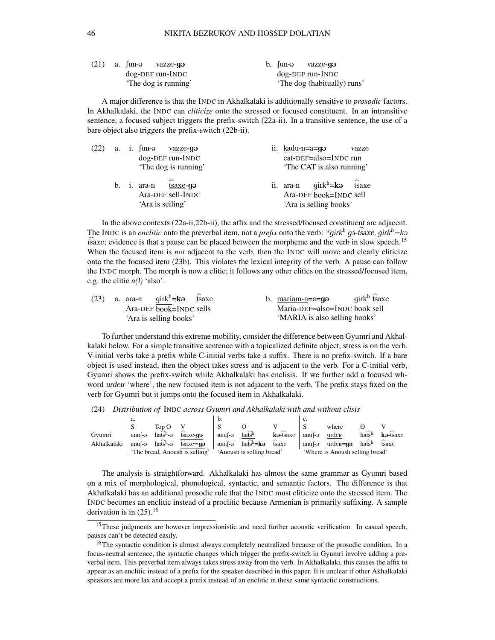|  | $(21)$ a. $\int$ un-ə <u>vazze</u> -gə |  | b. fun-ə <u>vazze</u> - <b>gə</b> |
|--|----------------------------------------|--|-----------------------------------|
|  | $dog$ -DEF run-INDC                    |  | $dog$ -DEF run-INDC               |
|  | 'The dog is running'                   |  | 'The dog (habitually) runs'       |

A major difference is that the INDC in Akhalkalaki is additionally sensitive to *prosodic* factors. In Akhalkalaki, the INDC can *cliticize* onto the stressed or focused constituent. In an intransitive sentence, a focused subject triggers the prefix-switch (22a-ii). In a transitive sentence, the use of a bare object also triggers the prefix-switch (22b-ii).

|  | $(22)$ a. i. fun- $\theta$ vazze-g $\theta$                                    | ii. kadu-n=a=gə                                                                        | vazze |
|--|--------------------------------------------------------------------------------|----------------------------------------------------------------------------------------|-------|
|  | dog-DEF run-INDC                                                               | cat-DEF=also=INDC run                                                                  |       |
|  | 'The dog is running'                                                           | 'The CAT is also running'                                                              |       |
|  | b. i. $ara-n$ $\widehat{ts}$ $axe-qa$<br>Ara-DEF sell-INDC<br>'Ara is selling' | ii. ara-n $girk^h = k\Theta$ isaxe<br>Ara-DEF book=INDC sell<br>'Ara is selling books' |       |

In the above contexts (22a-ii,22b-ii), the affix and the stressed/focused constituent are adjacent. The INDC is an *enclitic* onto the preverbal item, not a *prefix* onto the verb:  $*girk<sup>h</sup> g$  is axe, girk<sup>h</sup> = ka the tive is an encume one ineprecious nem, not a *prejudication* the verb. This gas back, yin —he fisaxe; evidence is that a pause can be placed between the morpheme and the verb in slow speech.<sup>15</sup> When the focused item is *not* adjacent to the verb, then the INDC will move and clearly cliticize onto the the focused item (23b). This violates the lexical integrity of the verb. A pause can follow the INDC morph. The morph is now a clitic; it follows any other clitics on the stressed/focused item, e.g. the clitic  $a(l)$  'also'.

| (23) | a. ara-n | $qirk^h = k\Theta$ tsaxe |  | b. mariam-n=a= $q\theta$      | $q$ irk $^h$ tsaxe |
|------|----------|--------------------------|--|-------------------------------|--------------------|
|      |          | Ara-DEF book=INDC sells  |  | Maria-DEF=also=INDC book sell |                    |
|      |          | 'Ara is selling books'   |  | 'MARIA is also selling books' |                    |

To further understand this extreme mobility, consider the difference between Gyumri and Akhalkalaki below. For a simple transitive sentence with a topicalized definite object, stress is on the verb. V-initial verbs take a prefix while C-initial verbs take a suffix. There is no prefix-switch. If a bare object is used instead, then the object takes stress and is adjacent to the verb. For a C-initial verb, Gyumri shows the prefix-switch while Akhalkalaki has enclisis. If we further add a focused whword urden 'where', the new focused item is not adjacent to the verb. The prefix stays fixed on the verb for Gyumri but it jumps onto the focused item in Akhalkalaki.

(24) *Distribution of* INDC *across Gyumri and Akhalkalaki with and without clisis*

|             | а.       |                                         |                                | b.       |                              |          | c.       |                                 |                    |          |
|-------------|----------|-----------------------------------------|--------------------------------|----------|------------------------------|----------|----------|---------------------------------|--------------------|----------|
|             | ى        | $\operatorname{Top}$ $\operatorname{O}$ |                                |          |                              |          |          | where                           |                    |          |
| Gvumri      | $anuf-a$ | $h\widehat{a}$                          | tsaxe-qə                       | anuf-ə   | $h\widehat{a}$               | ka-tsaxe | $anuf-a$ | urder                           | hatsh              | ka-tsaxe |
| Akhalkalaki | $anuf-a$ | $h\widehat{a}$ sh- $\widehat{a}$        | $tsaxe = q\theta$              | $anuf-a$ | $ha\widehat{ts}^h = k\Theta$ | tsaxe    | anuf-ə   | $urdev = q$                     | $h\widehat{afs}^h$ | tsaxe    |
|             |          |                                         | 'The bread, Anoush is selling' |          | 'Anoush is selling bread'    |          |          | 'Where is Anoush selling bread' |                    |          |

The analysis is straightforward. Akhalkalaki has almost the same grammar as Gyumri based on a mix of morphological, phonological, syntactic, and semantic factors. The difference is that Akhalkalaki has an additional prosodic rule that the INDC must cliticize onto the stressed item. The INDC becomes an enclitic instead of a proclitic because Armenian is primarily suffixing. A sample derivation is in  $(25)$ .<sup>16</sup>

<sup>&</sup>lt;sup>15</sup>These judgments are however impressionistic and need further acoustic verification. In casual speech, pauses can't be detected easily.

<sup>&</sup>lt;sup>16</sup>The syntactic condition is almost always completely neutralized because of the prosodic condition. In a focus-neutral sentence, the syntactic changes which trigger the prefix-switch in Gyumri involve adding a preverbal item. This preverbal item always takes stress away from the verb. In Akhalkalaki, this causes the affix to appear as an enclitic instead of a prefix for the speaker described in this paper. It is unclear if other Akhalkalaki speakers are more lax and accept a prefix instead of an enclitic in these same syntactic constructions.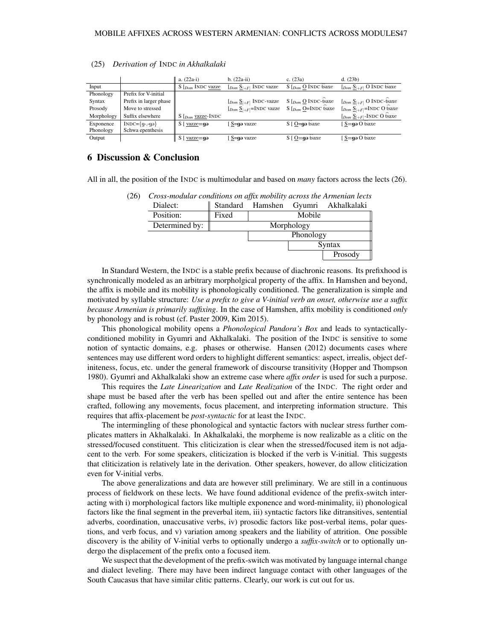|            |                        | $\ $ a. (22a-i)                              | $b. (22a-ii)$                                                                                          | c. $(23a)$                          | d. (23b)                                                |
|------------|------------------------|----------------------------------------------|--------------------------------------------------------------------------------------------------------|-------------------------------------|---------------------------------------------------------|
| Input      |                        | $S$ $_{Dom}$ INDC vazze                      | $[$ <i>Dom</i> $S_{[+F]}$ INDC vazze                                                                   | $S$ $_{Dom}$ O INDC tsaxe           | $[$ <i>Dom</i> $\underline{S}_{[+F]}$ O INDC tsaxe      |
| Phonology  | Prefix for V-initial   |                                              |                                                                                                        |                                     |                                                         |
| Syntax     | Prefix in larger phase |                                              | $[$ <i>Dom</i> $S_{[+F]}$ INDC-vazze                                                                   | S $[$ <sub>Dom</sub> $Q$ INDC-tsaxe | $[$ <i>Dom</i> $\underline{S}_{[+F]}$ O INDC-tsaxe      |
| Prosody    | Move to stressed       |                                              | $[$ <sub>Dom</sub> $\underline{S}_{[+F]}$ =INDC vazze S $[$ <sub>Dom</sub> $\underline{O}$ =INDC tsaxe |                                     | $[$ <sub>Dom</sub> $\underline{S}_{[+F]}$ =INDC O tsaxe |
| Morphology | Suffix elsewhere       | $S$ [ $_{Dom}$ vazze-INDC                    |                                                                                                        |                                     | $[$ <i>Dom</i> $\underline{S}_{[+F]}$ -INDC O tsaxe     |
| Exponence  | $INDC=\{q-, q\}$       | $\parallel S$ [ <u>vazze</u> =gə             | S=gə vazze                                                                                             | $S \mid O = q \Rightarrow$ tsaxe    | S=qa O tsaxe                                            |
| Phonology  | Schwa epenthesis       |                                              |                                                                                                        |                                     |                                                         |
| Output     |                        | $\parallel$ S [ $\frac{\text{vazze}}{9}$ = 9 | S=qo vazze                                                                                             | $S \cap \square$ and tsaxe          | $S = q\omega O$ tsaxe                                   |

#### (25) *Derivation of* INDC *in Akhalkalaki*

## 6 Discussion & Conclusion

All in all, the position of the INDC is multimodular and based on *many* factors across the lects (26).

| Dialect:       |       |            |           | Standard Hamshen Gyumri Akhalkalaki |  |  |
|----------------|-------|------------|-----------|-------------------------------------|--|--|
| Position:      | Fixed |            | Mobile    |                                     |  |  |
| Determined by: |       | Morphology |           |                                     |  |  |
|                |       |            | Phonology |                                     |  |  |
|                |       |            |           | Syntax                              |  |  |
|                |       |            |           | Prosody                             |  |  |

In Standard Western, the INDC is a stable prefix because of diachronic reasons. Its prefixhood is synchronically modeled as an arbitrary morpholgical property of the affix. In Hamshen and beyond, the affix is mobile and its mobility is phonologically conditioned. The generalization is simple and motivated by syllable structure: *Use a prefix to give a V-initial verb an onset, otherwise use a suffix*

*because Armenian is primarily suffixing*. In the case of Hamshen, affix mobility is conditioned *only* by phonology and is robust (cf. Paster 2009, Kim 2015). This phonological mobility opens a *Phonological Pandora's Box* and leads to syntactically-

conditioned mobility in Gyumri and Akhalkalaki. The position of the INDC is sensitive to some notion of syntactic domains, e.g. phases or otherwise. Hansen (2012) documents cases where sentences may use different word orders to highlight different semantics: aspect, irrealis, object definiteness, focus, etc. under the general framework of discourse transitivity (Hopper and Thompson 1980). Gyumri and Akhalkalaki show an extreme case where *affix order* is used for such a purpose.

This requires the *Late Linearization* and *Late Realization* of the INDC. The right order and shape must be based after the verb has been spelled out and after the entire sentence has been crafted, following any movements, focus placement, and interpreting information structure. This requires that affix-placement be *post-syntactic* for at least the INDC.

The intermingling of these phonological and syntactic factors with nuclear stress further complicates matters in Akhalkalaki. In Akhalkalaki, the morpheme is now realizable as a clitic on the stressed/focused constituent. This cliticization is clear when the stressed/focused item is not adjacent to the verb. For some speakers, cliticization is blocked if the verb is V-initial. This suggests that cliticization is relatively late in the derivation. Other speakers, however, do allow cliticization even for V-initial verbs.

The above generalizations and data are however still preliminary. We are still in a continuous process of fieldwork on these lects. We have found additional evidence of the prefix-switch interacting with i) morphological factors like multiple exponence and word-minimality, ii) phonological factors like the final segment in the preverbal item, iii) syntactic factors like ditransitives, sentential adverbs, coordination, unaccusative verbs, iv) prosodic factors like post-verbal items, polar questions, and verb focus, and v) variation among speakers and the liability of attrition. One possible discovery is the ability of V-initial verbs to optionally undergo a *suffix-switch* or to optionally undergo the displacement of the prefix onto a focused item.

We suspect that the development of the prefix-switch was motivated by language internal change and dialect leveling. There may have been indirect language contact with other languages of the South Caucasus that have similar clitic patterns. Clearly, our work is cut out for us.